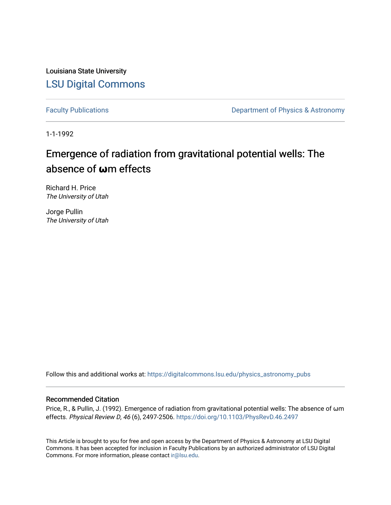Louisiana State University [LSU Digital Commons](https://digitalcommons.lsu.edu/)

[Faculty Publications](https://digitalcommons.lsu.edu/physics_astronomy_pubs) **Exercise 2 and Table 2 and Table 2 and Table 2 and Table 2 and Table 2 and Table 2 and Table 2 and Table 2 and Table 2 and Table 2 and Table 2 and Table 2 and Table 2 and Table 2 and Table 2 and Table** 

1-1-1992

# Emergence of radiation from gravitational potential wells: The absence of **ω**m effects

Richard H. Price The University of Utah

Jorge Pullin The University of Utah

Follow this and additional works at: [https://digitalcommons.lsu.edu/physics\\_astronomy\\_pubs](https://digitalcommons.lsu.edu/physics_astronomy_pubs?utm_source=digitalcommons.lsu.edu%2Fphysics_astronomy_pubs%2F4455&utm_medium=PDF&utm_campaign=PDFCoverPages) 

# Recommended Citation

Price, R., & Pullin, J. (1992). Emergence of radiation from gravitational potential wells: The absence of ωm effects. Physical Review D, 46 (6), 2497-2506.<https://doi.org/10.1103/PhysRevD.46.2497>

This Article is brought to you for free and open access by the Department of Physics & Astronomy at LSU Digital Commons. It has been accepted for inclusion in Faculty Publications by an authorized administrator of LSU Digital Commons. For more information, please contact [ir@lsu.edu](mailto:ir@lsu.edu).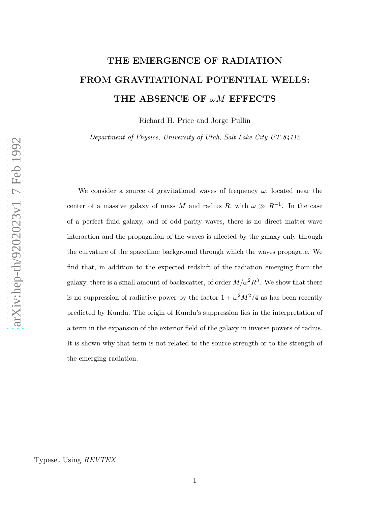# THE EMERGENCE OF RADIATION FROM GRAVITATIONAL POTENTIAL WELLS: THE ABSENCE OF  $\omega M$  EFFECTS

Richard H. Price and Jorge Pullin

Department of Physics, University of Utah, Salt Lake City UT 84112

We consider a source of gravitational waves of frequency  $\omega$ , located near the center of a massive galaxy of mass M and radius R, with  $\omega \gg R^{-1}$ . In the case of a perfect fluid galaxy, and of odd-parity waves, there is no direct matter-wave interaction and the propagation of the waves is affected by the galaxy only through the curvature of the spacetime background through which the waves propagate. We find that, in addition to the expected redshift of the radiation emerging from the galaxy, there is a small amount of backscatter, of order  $M/\omega^2 R^3$ . We show that there is no suppression of radiative power by the factor  $1 + \omega^2 M^2/4$  as has been recently predicted by Kundu. The origin of Kundu's suppression lies in the interpretation of a term in the expansion of the exterior field of the galaxy in inverse powers of radius. It is shown why that term is not related to the source strength or to the strength of the emerging radiation.

Typeset Using REVTEX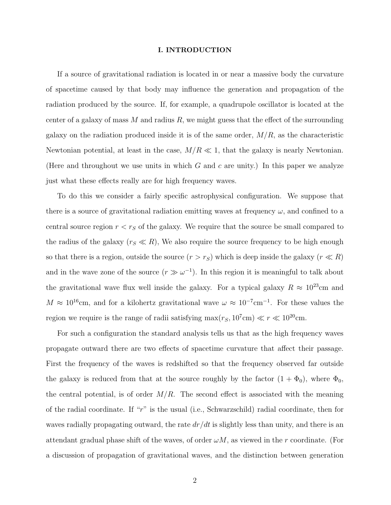#### I. INTRODUCTION

If a source of gravitational radiation is located in or near a massive body the curvature of spacetime caused by that body may influence the generation and propagation of the radiation produced by the source. If, for example, a quadrupole oscillator is located at the center of a galaxy of mass  $M$  and radius  $R$ , we might guess that the effect of the surrounding galaxy on the radiation produced inside it is of the same order,  $M/R$ , as the characteristic Newtonian potential, at least in the case,  $M/R \ll 1$ , that the galaxy is nearly Newtonian. (Here and throughout we use units in which  $G$  and  $c$  are unity.) In this paper we analyze just what these effects really are for high frequency waves.

To do this we consider a fairly specific astrophysical configuration. We suppose that there is a source of gravitational radiation emitting waves at frequency  $\omega$ , and confined to a central source region  $r < r<sub>S</sub>$  of the galaxy. We require that the source be small compared to the radius of the galaxy  $(r<sub>S</sub> \ll R)$ , We also require the source frequency to be high enough so that there is a region, outside the source  $(r > r_S)$  which is deep inside the galaxy  $(r \ll R)$ and in the wave zone of the source  $(r \gg \omega^{-1})$ . In this region it is meaningful to talk about the gravitational wave flux well inside the galaxy. For a typical galaxy  $R \approx 10^{23}$ cm and  $M \approx 10^{16}$ cm, and for a kilohertz gravitational wave  $\omega \approx 10^{-7}$ cm<sup>-1</sup>. For these values the region we require is the range of radii satisfying  $\max(r_S, 10^7 \text{cm}) \ll r \ll 10^{20} \text{cm}$ .

For such a configuration the standard analysis tells us that as the high frequency waves propagate outward there are two effects of spacetime curvature that affect their passage. First the frequency of the waves is redshifted so that the frequency observed far outside the galaxy is reduced from that at the source roughly by the factor  $(1 + \Phi_0)$ , where  $\Phi_0$ , the central potential, is of order  $M/R$ . The second effect is associated with the meaning of the radial coordinate. If " $r$ " is the usual (i.e., Schwarzschild) radial coordinate, then for waves radially propagating outward, the rate  $dr/dt$  is slightly less than unity, and there is an attendant gradual phase shift of the waves, of order  $\omega M$ , as viewed in the r coordinate. (For a discussion of propagation of gravitational waves, and the distinction between generation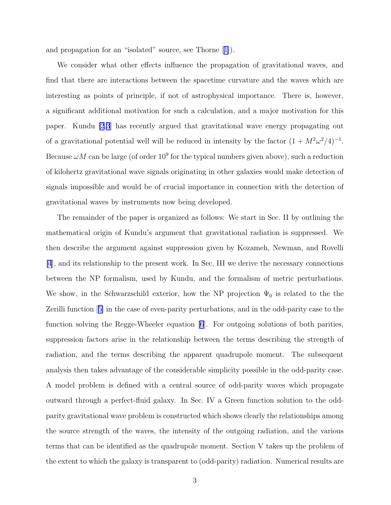and propagation for an "isolated" source, see Thorne[[1\]](#page-25-0)).

We consider what other effects influence the propagation of gravitational waves, and find that there are interactions between the spacetime curvature and the waves which are interesting as points of principle, if not of astrophysical importance. There is, however, a significant additional motivation for such a calculation, and a major motivation for this paper. Kundu [\[2](#page-25-0),[3](#page-25-0)] has recently argued that gravitational wave energy propagating out of a gravitational potential well will be reduced in intensity by the factor  $(1 + M^2 \omega^2/4)^{-1}$ . Because  $\omega M$  can be large (of order  $10^9$  for the typical numbers given above), such a reduction of kilohertz gravitational wave signals originating in other galaxies would make detection of signals impossible and would be of crucial importance in connection with the detection of gravitational waves by instruments now being developed.

The remainder of the paper is organized as follows: We start in Sec. II by outlining the mathematical origin of Kundu's argument that gravitational radiation is suppressed. We then describe the argument against suppression given by Kozameh, Newman, and Rovelli [\[4](#page-25-0)], and its relationship to the present work. In Sec. III we derive the necessary connections between the NP formalism, used by Kundu, and the formalism of metric perturbations. We show, in the Schwarzschild exterior, how the NP projection  $\Psi_0$  is related to the the Zerilli function[[5\]](#page-25-0) in the case of even-parity perturbations, and in the odd-parity case to the function solving the Regge-Wheeler equation [\[6](#page-25-0)]. For outgoing solutions of both parities, suppression factors arise in the relationship between the terms describing the strength of radiation, and the terms describing the apparent quadrupole moment. The subsequent analysis then takes advantage of the considerable simplicity possible in the odd-parity case. A model problem is defined with a central source of odd-parity waves which propagate outward through a perfect-fluid galaxy. In Sec. IV a Green function solution to the oddparity gravitational wave problem is constructed which shows clearly the relationships among the source strength of the waves, the intensity of the outgoing radiation, and the various terms that can be identified as the quadrupole moment. Section V takes up the problem of the extent to which the galaxy is transparent to (odd-parity) radiation. Numerical results are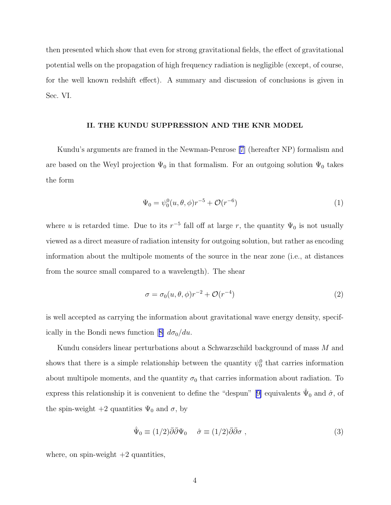then presented which show that even for strong gravitational fields, the effect of gravitational potential wells on the propagation of high frequency radiation is negligible (except, of course, for the well known redshift effect). A summary and discussion of conclusions is given in Sec. VI.

#### II. THE KUNDU SUPPRESSION AND THE KNR MODEL

Kundu's arguments are framed in the Newman-Penrose [\[7\]](#page-25-0) (hereafter NP) formalism and are based on the Weyl projection  $\Psi_0$  in that formalism. For an outgoing solution  $\Psi_0$  takes the form

$$
\Psi_0 = \psi_0^0(u, \theta, \phi) r^{-5} + \mathcal{O}(r^{-6})
$$
\n(1)

where u is retarded time. Due to its  $r^{-5}$  fall off at large r, the quantity  $\Psi_0$  is not usually viewed as a direct measure of radiation intensity for outgoing solution, but rather as encoding information about the multipole moments of the source in the near zone (i.e., at distances from the source small compared to a wavelength). The shear

$$
\sigma = \sigma_0(u, \theta, \phi) r^{-2} + \mathcal{O}(r^{-4})
$$
\n(2)

is well accepted as carrying the information about gravitational wave energy density, specif-icallyin the Bondi news function [[8\]](#page-25-0)  $d\sigma_0/du$ .

Kundu considers linear perturbations about a Schwarzschild background of mass M and shows that there is a simple relationship between the quantity  $\psi_0^0$  that carries information about multipole moments, and the quantity  $\sigma_0$  that carries information about radiation. To expressthis relationship it is convenient to define the "despun" [[9\]](#page-25-0) equivalents  $\hat{\Psi}_0$  and  $\hat{\sigma}$ , of the spin-weight  $+2$  quantities  $\Psi_0$  and  $\sigma$ , by

$$
\hat{\Psi}_0 \equiv (1/2)\bar{\partial}\bar{\partial}\Psi_0 \quad \hat{\sigma} \equiv (1/2)\bar{\partial}\bar{\partial}\sigma , \qquad (3)
$$

where, on spin-weight  $+2$  quantities,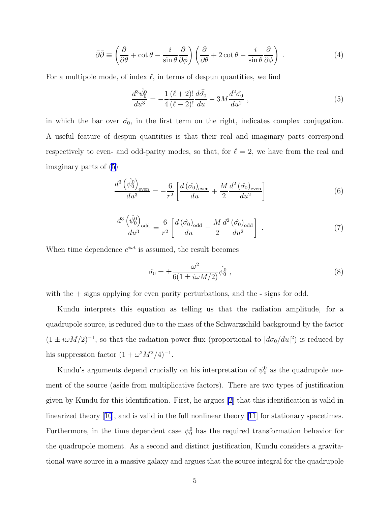$$
\bar{\partial}\bar{\partial} \equiv \left(\frac{\partial}{\partial \theta} + \cot \theta - \frac{i}{\sin \theta} \frac{\partial}{\partial \phi}\right) \left(\frac{\partial}{\partial \theta} + 2 \cot \theta - \frac{i}{\sin \theta} \frac{\partial}{\partial \phi}\right) . \tag{4}
$$

For a multipole mode, of index  $\ell$ , in terms of despun quantities, we find

$$
\frac{d^3\hat{\psi}_0^0}{du^3} = -\frac{1}{4}\frac{(\ell+2)!}{(\ell-2)!}\frac{d\bar{\hat{\sigma}_0}}{du} - 3M\frac{d^2\hat{\sigma}_0}{du^2} ,\qquad (5)
$$

in which the bar over  $\hat{\sigma}_0$ , in the first term on the right, indicates complex conjugation. A useful feature of despun quantities is that their real and imaginary parts correspond respectively to even- and odd-parity modes, so that, for  $\ell = 2$ , we have from the real and imaginary parts of (5)

$$
\frac{d^3\left(\hat{\psi}_0^0\right)_{\text{even}}}{du^3} = -\frac{6}{r^2} \left[ \frac{d\left(\hat{\sigma}_0\right)_{\text{even}}}{du} + \frac{M}{2} \frac{d^2\left(\hat{\sigma}_0\right)_{\text{even}}}{du^2} \right] \tag{6}
$$

$$
\frac{d^3 \left(\hat{\psi}_0^0\right)_{\text{odd}}}{du^3} = \frac{6}{r^2} \left[ \frac{d \left(\hat{\sigma}_0\right)_{\text{odd}}}{du} - \frac{M}{2} \frac{d^2 \left(\hat{\sigma}_0\right)_{\text{odd}}}{du^2} \right] \tag{7}
$$

When time dependence  $e^{i\omega t}$  is assumed, the result becomes

$$
\hat{\sigma_0} = \pm \frac{\omega^2}{6(1 \pm i\omega M/2)} \hat{\psi}_0^0 \;, \tag{8}
$$

with the  $+$  signs applying for even parity perturbations, and the  $-$  signs for odd.

Kundu interprets this equation as telling us that the radiation amplitude, for a quadrupole source, is reduced due to the mass of the Schwarzschild background by the factor  $(1 \pm i\omega M/2)^{-1}$ , so that the radiation power flux (proportional to  $|d\sigma_0/du|^2$ ) is reduced by his suppression factor  $(1 + \omega^2 M^2/4)^{-1}$ .

Kundu's arguments depend crucially on his interpretation of  $\psi_0^0$  as the quadrupole moment of the source (aside from multiplicative factors). There are two types of justification given by Kundu for this identification. First, he argues [\[2](#page-25-0)] that this identification is valid in linearized theory[[10](#page-25-0)], and is valid in the full nonlinear theory [\[11](#page-25-0)] for stationary spacetimes. Furthermore, in the time dependent case  $\psi_0^0$  has the required transformation behavior for the quadrupole moment. As a second and distinct justification, Kundu considers a gravitational wave source in a massive galaxy and argues that the source integral for the quadrupole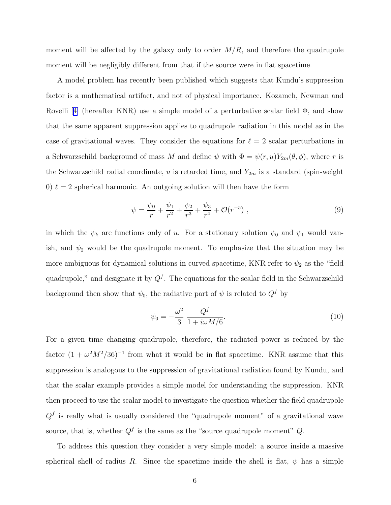moment will be affected by the galaxy only to order  $M/R$ , and therefore the quadrupole moment will be negligibly different from that if the source were in flat spacetime.

A model problem has recently been published which suggests that Kundu's suppression factor is a mathematical artifact, and not of physical importance. Kozameh, Newman and Rovelli[[4\]](#page-25-0) (hereafter KNR) use a simple model of a perturbative scalar field  $\Phi$ , and show that the same apparent suppression applies to quadrupole radiation in this model as in the case of gravitational waves. They consider the equations for  $\ell = 2$  scalar perturbations in a Schwarzschild background of mass M and define  $\psi$  with  $\Phi = \psi(r, u)Y_{2m}(\theta, \phi)$ , where r is the Schwarzschild radial coordinate, u is retarded time, and  $Y_{2m}$  is a standard (spin-weight 0)  $\ell = 2$  spherical harmonic. An outgoing solution will then have the form

$$
\psi = \frac{\psi_0}{r} + \frac{\psi_1}{r^2} + \frac{\psi_2}{r^3} + \frac{\psi_3}{r^4} + \mathcal{O}(r^{-5}) \;, \tag{9}
$$

in which the  $\psi_k$  are functions only of u. For a stationary solution  $\psi_0$  and  $\psi_1$  would vanish, and  $\psi_2$  would be the quadrupole moment. To emphasize that the situation may be more ambiguous for dynamical solutions in curved spacetime, KNR refer to  $\psi_2$  as the "field" quadrupole," and designate it by  $Q^f$ . The equations for the scalar field in the Schwarzschild background then show that  $\psi_0$ , the radiative part of  $\psi$  is related to  $Q^f$  by

$$
\psi_0 = -\frac{\omega^2}{3} \frac{Q^f}{1 + i\omega M/6}.\tag{10}
$$

For a given time changing quadrupole, therefore, the radiated power is reduced by the factor  $(1 + \omega^2 M^2 / 36)^{-1}$  from what it would be in flat spacetime. KNR assume that this suppression is analogous to the suppression of gravitational radiation found by Kundu, and that the scalar example provides a simple model for understanding the suppression. KNR then proceed to use the scalar model to investigate the question whether the field quadrupole  $Q<sup>f</sup>$  is really what is usually considered the "quadrupole moment" of a gravitational wave source, that is, whether  $Q^f$  is the same as the "source quadrupole moment"  $Q$ .

To address this question they consider a very simple model: a source inside a massive spherical shell of radius R. Since the spacetime inside the shell is flat,  $\psi$  has a simple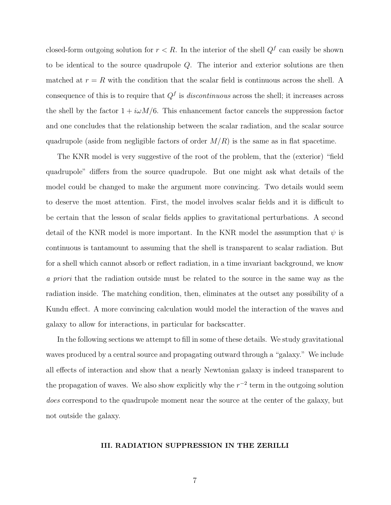closed-form outgoing solution for  $r < R$ . In the interior of the shell  $Q^f$  can easily be shown to be identical to the source quadrupole Q. The interior and exterior solutions are then matched at  $r = R$  with the condition that the scalar field is continuous across the shell. A consequence of this is to require that  $Q<sup>f</sup>$  is *discontinuous* across the shell; it increases across the shell by the factor  $1 + i\omega M/6$ . This enhancement factor cancels the suppression factor and one concludes that the relationship between the scalar radiation, and the scalar source quadrupole (aside from negligible factors of order  $M/R$ ) is the same as in flat spacetime.

The KNR model is very suggestive of the root of the problem, that the (exterior) "field quadrupole" differs from the source quadrupole. But one might ask what details of the model could be changed to make the argument more convincing. Two details would seem to deserve the most attention. First, the model involves scalar fields and it is difficult to be certain that the lesson of scalar fields applies to gravitational perturbations. A second detail of the KNR model is more important. In the KNR model the assumption that  $\psi$  is continuous is tantamount to assuming that the shell is transparent to scalar radiation. But for a shell which cannot absorb or reflect radiation, in a time invariant background, we know a priori that the radiation outside must be related to the source in the same way as the radiation inside. The matching condition, then, eliminates at the outset any possibility of a Kundu effect. A more convincing calculation would model the interaction of the waves and galaxy to allow for interactions, in particular for backscatter.

In the following sections we attempt to fill in some of these details. We study gravitational waves produced by a central source and propagating outward through a "galaxy." We include all effects of interaction and show that a nearly Newtonian galaxy is indeed transparent to the propagation of waves. We also show explicitly why the  $r^{-2}$  term in the outgoing solution does correspond to the quadrupole moment near the source at the center of the galaxy, but not outside the galaxy.

## III. RADIATION SUPPRESSION IN THE ZERILLI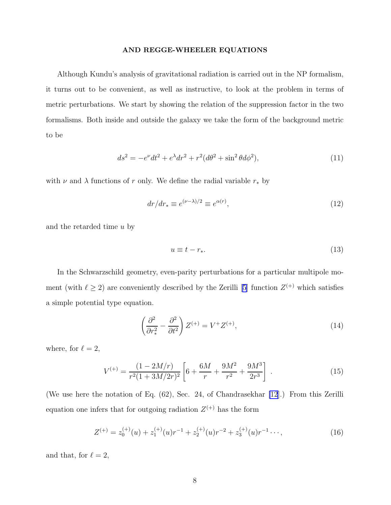#### AND REGGE-WHEELER EQUATIONS

<span id="page-8-0"></span>Although Kundu's analysis of gravitational radiation is carried out in the NP formalism, it turns out to be convenient, as well as instructive, to look at the problem in terms of metric perturbations. We start by showing the relation of the suppression factor in the two formalisms. Both inside and outside the galaxy we take the form of the background metric to be

$$
ds^{2} = -e^{\nu}dt^{2} + e^{\lambda}dr^{2} + r^{2}(d\theta^{2} + \sin^{2}\theta d\phi^{2}),
$$
\n(11)

with  $\nu$  and  $\lambda$  functions of  $r$  only. We define the radial variable  $r_*$  by

$$
dr/dr_* \equiv e^{(\nu - \lambda)/2} \equiv e^{\alpha(r)},\tag{12}
$$

and the retarded time u by

$$
u \equiv t - r_*.\tag{13}
$$

In the Schwarzschild geometry, even-parity perturbations for a particular multipole moment (with  $\ell \geq 2$ ) are conveniently described by the Zerilli [\[5](#page-25-0)] function  $Z^{(+)}$  which satisfies a simple potential type equation.

$$
\left(\frac{\partial^2}{\partial r_*^2} - \frac{\partial^2}{\partial t^2}\right) Z^{(+)} = V^+ Z^{(+)},\tag{14}
$$

where, for  $\ell=2,$ 

$$
V^{(+)} = \frac{(1 - 2M/r)}{r^2 (1 + 3M/2r)^2} \left[ 6 + \frac{6M}{r} + \frac{9M^2}{r^2} + \frac{9M^3}{2r^3} \right] \tag{15}
$$

(We use here the notation of Eq. (62), Sec. 24, of Chandrasekhar [\[12](#page-25-0)].) From this Zerilli equation one infers that for outgoing radiation  $Z^{(+)}$  has the form

$$
Z^{(+)} = z_0^{(+)}(u) + z_1^{(+)}(u)r^{-1} + z_2^{(+)}(u)r^{-2} + z_3^{(+)}(u)r^{-1} \cdots,
$$
\n(16)

and that, for  $\ell = 2$ ,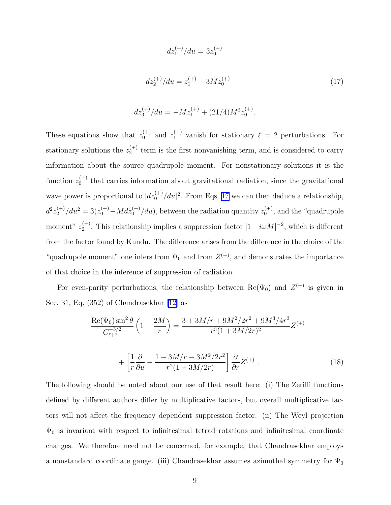$$
dz_1^{(+)}/du = 3z_0^{(+)}
$$
  

$$
dz_2^{(+)}/du = z_1^{(+)} - 3Mz_0^{(+)}
$$
 (17)

$$
dz_3^{(+)}/du = -Mz_1^{(+)} + (21/4)M^2z_0^{(+)}.
$$

<span id="page-9-0"></span>These equations show that  $z_0^{(+)}$  and  $z_1^{(+)}$  vanish for stationary  $\ell = 2$  perturbations. For stationary solutions the  $z_2^{(+)}$  $t_2^{(+)}$  term is the first nonvanishing term, and is considered to carry information about the source quadrupole moment. For nonstationary solutions it is the function  $z_0^{(+)}$  $_0^{(+)}$  that carries information about gravitational radiation, since the gravitational wave power is proportional to  $|dz_0^{(+)}/du|^2$ . From Eqs. 17 we can then deduce a relationship,  $d^2z_2^{(+)}/du^2 = 3(z_0^{(+)} - Mdz_0^{(+)}/du)$ , between the radiation quantity  $z_0^{(+)}$  $_0^{(+)}$ , and the "quadrupole" moment"  $z_2^{(+)}$  $2^{(+)}$ . This relationship implies a suppression factor  $|1 - i\omega M|^{-2}$ , which is different from the factor found by Kundu. The difference arises from the difference in the choice of the "quadrupole moment" one infers from  $\Psi_0$  and from  $Z^{(+)}$ , and demonstrates the importance of that choice in the inference of suppression of radiation.

For even-parity perturbations, the relationship between  $\text{Re}(\Psi_0)$  and  $Z^{(+)}$  is given in Sec. 31, Eq. (352) of Chandrasekhar [\[12](#page-25-0)] as

$$
-\frac{\text{Re}(\Psi_0)\sin^2\theta}{C_{\ell+2}^{-3/2}}\left(1-\frac{2M}{r}\right) = \frac{3+3M/r+9M^2/2r^2+9M^3/4r^3}{r^3(1+3M/2r)^2}Z^{(+)} + \left[\frac{1}{r}\frac{\partial}{\partial u} + \frac{1-3M/r-3M^2/2r^2}{r^2(1+3M/2r)}\right]\frac{\partial}{\partial r}Z^{(+)}.
$$
 (18)

The following should be noted about our use of that result here: (i) The Zerilli functions defined by different authors differ by multiplicative factors, but overall multiplicative factors will not affect the frequency dependent suppression factor. (ii) The Weyl projection  $\Psi_0$  is invariant with respect to infinitesimal tetrad rotations and infinitesimal coordinate changes. We therefore need not be concerned, for example, that Chandrasekhar employs a nonstandard coordinate gauge. (iii) Chandrasekhar assumes azimuthal symmetry for  $\Psi_0$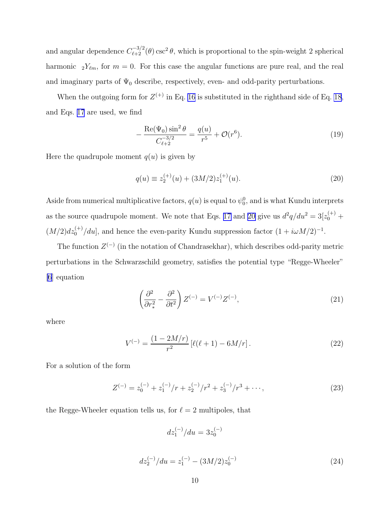<span id="page-10-0"></span>and angular dependence  $C_{\ell+2}^{-3/2}(\theta)$  csc<sup>2</sup> $\theta$ , which is proportional to the spin-weight 2 spherical harmonic  $_2Y_{\ell m}$ , for  $m=0$ . For this case the angular functions are pure real, and the real and imaginary parts of  $\Psi_0$  describe, respectively, even- and odd-parity perturbations.

When the outgoing form for  $Z^{(+)}$  in Eq. [16](#page-8-0) is substituted in the righthand side of Eq. [18](#page-9-0), and Eqs. [17](#page-9-0) are used, we find

$$
-\frac{\text{Re}(\Psi_0)\sin^2\theta}{C_{\ell+2}^{-3/2}} = \frac{q(u)}{r^5} + \mathcal{O}(r^6).
$$
 (19)

Here the quadrupole moment  $q(u)$  is given by

$$
q(u) \equiv z_2^{(+)}(u) + (3M/2)z_1^{(+)}(u). \tag{20}
$$

Aside from numerical multiplicative factors,  $q(u)$  is equal to  $\psi_0^0$ , and is what Kundu interprets as the source quadrupole moment. We note that Eqs. [17](#page-9-0) and 20 give us  $d^2q/du^2 = 3[z_0^{(+)} +$  $(M/2)dz_0^{(+)}/du$ , and hence the even-parity Kundu suppression factor  $(1 + i\omega M/2)^{-1}$ .

The function  $Z^{(-)}$  (in the notation of Chandrasekhar), which describes odd-parity metric perturbations in the Schwarzschild geometry, satisfies the potential type "Regge-Wheeler" [\[6](#page-25-0)] equation

$$
\left(\frac{\partial^2}{\partial r_*^2} - \frac{\partial^2}{\partial t^2}\right) Z^{(-)} = V^{(-)} Z^{(-)},\tag{21}
$$

where

$$
V^{(-)} = \frac{(1 - 2M/r)}{r^2} \left[ \ell(\ell+1) - 6M/r \right]. \tag{22}
$$

For a solution of the form

$$
Z^{(-)} = z_0^{(-)} + z_1^{(-)}/r + z_2^{(-)}/r^2 + z_3^{(-)}/r^3 + \cdots,
$$
\n(23)

the Regge-Wheeler equation tells us, for  $\ell = 2$  multipoles, that

$$
dz_1^{(-)}/du = 3z_0^{(-)}
$$

$$
dz_2^{(-)}/du = z_1^{(-)} - (3M/2)z_0^{(-)}
$$
\n(24)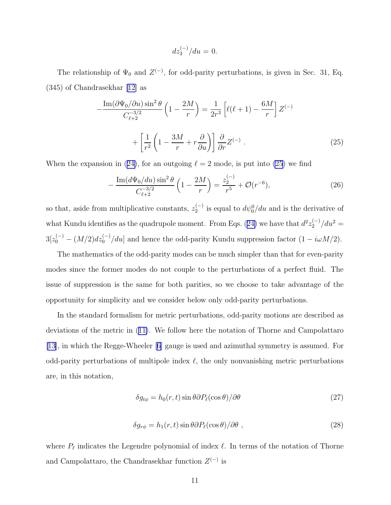$$
dz_3^{(-)}/du = 0.
$$

The relationship of  $\Psi_0$  and  $Z^{(-)}$ , for odd-parity perturbations, is given in Sec. 31, Eq. (345) of Chandrasekhar [\[12\]](#page-25-0) as

$$
-\frac{\operatorname{Im}(\partial\Psi_0/\partial u)\sin^2\theta}{C_{\ell+2}^{-3/2}}\left(1-\frac{2M}{r}\right) = \frac{1}{2r^3}\left[\ell(\ell+1)-\frac{6M}{r}\right]Z^{(-)} + \left[\frac{1}{r^2}\left(1-\frac{3M}{r}+r\frac{\partial}{\partial u}\right)\right]\frac{\partial}{\partial r}Z^{(-)}.
$$
\n(25)

Whenthe expansion in ([24\)](#page-10-0), for an outgoing  $\ell = 2$  mode, is put into (25) we find

$$
-\frac{\operatorname{Im}(d\Psi_0/du)\sin^2\theta}{C_{\ell+2}^{-3/2}}\left(1-\frac{2M}{r}\right)=\frac{z_2^{(-)}}{r^5}+\mathcal{O}(r^{-6}),\tag{26}
$$

so that, aside from multiplicative constants,  $z_2^{(-)}$  $y_2^{(-)}$  is equal to  $d\psi_0^0/du$  and is the derivative of whatKundu identifies as the quadrupole moment. From Eqs. ([24\)](#page-10-0) we have that  $d^2z_2^{(-)}/du^2 =$  $3[z_0^{(-)} - (M/2)dz_0^{(-)}/du]$  and hence the odd-parity Kundu suppression factor  $(1 - i\omega M/2)$ .

The mathematics of the odd-parity modes can be much simpler than that for even-parity modes since the former modes do not couple to the perturbations of a perfect fluid. The issue of suppression is the same for both parities, so we choose to take advantage of the opportunity for simplicity and we consider below only odd-parity perturbations.

In the standard formalism for metric perturbations, odd-parity motions are described as deviations of the metric in([11\)](#page-8-0). We follow here the notation of Thorne and Campolattaro [\[13\]](#page-25-0), in which the Regge-Wheeler[[6\]](#page-25-0) gauge is used and azimuthal symmetry is assumed. For odd-parity perturbations of multipole index  $\ell$ , the only nonvanishing metric perturbations are, in this notation,

$$
\delta g_{t\phi} = h_0(r, t) \sin \theta \partial P_{\ell}(\cos \theta) / \partial \theta \tag{27}
$$

$$
\delta g_{r\phi} = h_1(r, t) \sin \theta \partial P_\ell(\cos \theta) / \partial \theta \tag{28}
$$

where  $P_{\ell}$  indicates the Legendre polynomial of index  $\ell$ . In terms of the notation of Thorne and Campolattaro, the Chandrasekhar function  $Z^{(-)}$  is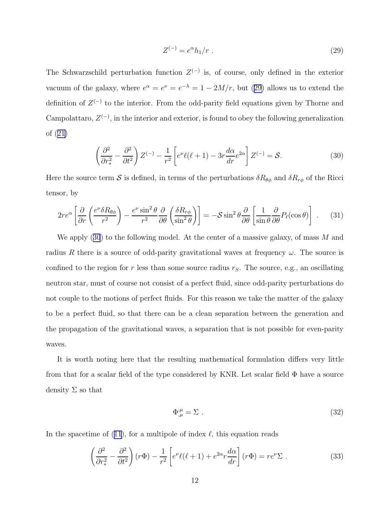$$
Z^{(-)} = e^{\alpha} h_1 / r \tag{29}
$$

<span id="page-12-0"></span>The Schwarzschild perturbation function  $Z^{(-)}$  is, of course, only defined in the exterior vacuum of the galaxy, where  $e^{\alpha} = e^{\nu} = e^{-\lambda} = 1 - 2M/r$ , but (29) allows us to extend the definition of  $Z^{(-)}$  to the interior. From the odd-parity field equations given by Thorne and Campolattaro,  $Z^{(-)}$ , in the interior and exterior, is found to obey the following generalization of([21\)](#page-10-0)

$$
\left(\frac{\partial^2}{\partial r_*^2} - \frac{\partial^2}{\partial t^2}\right) Z^{(-)} - \frac{1}{r^2} \left[ e^{\nu} \ell(\ell+1) - 3r \frac{d\alpha}{dr} e^{2\alpha} \right] Z^{(-)} = \mathcal{S}.
$$
 (30)

Here the source term  $S$  is defined, in terms of the perturbations  $\delta R_{\theta\phi}$  and  $\delta R_{r\phi}$  of the Ricci tensor, by

$$
2re^{\alpha}\left[\frac{\partial}{\partial r}\left(\frac{e^{\nu}\delta R_{\theta\phi}}{r^2}\right)-\frac{e^{\nu}\sin^2\theta}{r^2}\frac{\partial}{\partial \theta}\left(\frac{\delta R_{r\phi}}{\sin^2\theta}\right)\right]=-\mathcal{S}\sin^2\theta\frac{\partial}{\partial \theta}\left[\frac{1}{\sin\theta}\frac{\partial}{\partial \theta}P_{\ell}(\cos\theta)\right].
$$
 (31)

We apply  $(30)$  to the following model. At the center of a massive galaxy, of mass M and radius R there is a source of odd-parity gravitational waves at frequency  $\omega$ . The source is confined to the region for r less than some source radius  $r<sub>S</sub>$ . The source, e.g., an oscillating neutron star, must of course not consist of a perfect fluid, since odd-parity perturbations do not couple to the motions of perfect fluids. For this reason we take the matter of the galaxy to be a perfect fluid, so that there can be a clean separation between the generation and the propagation of the gravitational waves, a separation that is not possible for even-parity waves.

It is worth noting here that the resulting mathematical formulation differs very little from that for a scalar field of the type considered by KNR. Let scalar field Φ have a source density  $\Sigma$  so that

$$
\Phi^{\mu}_{,\mu} = \Sigma \tag{32}
$$

Inthe spacetime of ([11](#page-8-0)), for a multipole of index  $\ell$ , this equation reads

$$
\left(\frac{\partial^2}{\partial r_*^2} - \frac{\partial^2}{\partial t^2}\right)(r\Phi) - \frac{1}{r^2} \left[e^{\nu} \ell(\ell+1) + e^{2\alpha} r \frac{d\alpha}{dr}\right](r\Phi) = r e^{\nu} \Sigma . \tag{33}
$$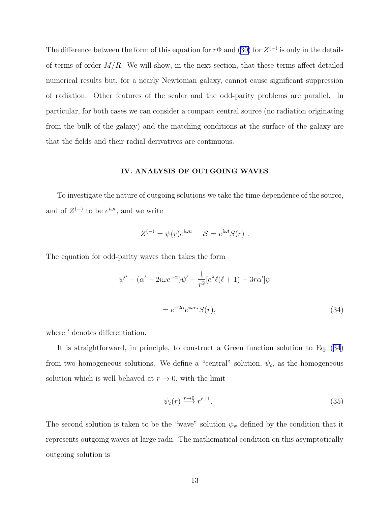<span id="page-13-0"></span>Thedifference between the form of this equation for  $r\Phi$  and ([30\)](#page-12-0) for  $Z^{(-)}$  is only in the details of terms of order  $M/R$ . We will show, in the next section, that these terms affect detailed numerical results but, for a nearly Newtonian galaxy, cannot cause significant suppression of radiation. Other features of the scalar and the odd-parity problems are parallel. In particular, for both cases we can consider a compact central source (no radiation originating from the bulk of the galaxy) and the matching conditions at the surface of the galaxy are that the fields and their radial derivatives are continuous.

#### IV. ANALYSIS OF OUTGOING WAVES

To investigate the nature of outgoing solutions we take the time dependence of the source, and of  $Z^{(-)}$  to be  $e^{i\omega t}$ , and we write

$$
Z^{(-)} = \psi(r)e^{i\omega u} \quad S = e^{i\omega t}S(r) .
$$

The equation for odd-parity waves then takes the form

$$
\psi'' + (\alpha' - 2i\omega e^{-\alpha})\psi' - \frac{1}{r^2} [e^{\lambda}\ell(\ell+1) - 3r\alpha']\psi
$$
  
= 
$$
e^{-2\alpha}e^{i\omega r_*}S(r),
$$
 (34)

where  $'$  denotes differentiation.

It is straightforward, in principle, to construct a Green function solution to Eq. (34) from two homogeneous solutions. We define a "central" solution,  $\psi_c$ , as the homogeneous solution which is well behaved at  $r \to 0$ , with the limit

$$
\psi_c(r) \xrightarrow{r \to 0} r^{\ell+1}.\tag{35}
$$

The second solution is taken to be the "wave" solution  $\psi_w$  defined by the condition that it represents outgoing waves at large radii. The mathematical condition on this asymptotically outgoing solution is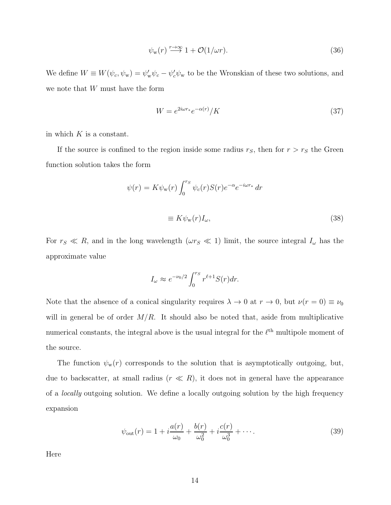$$
\psi_{\mathbf{w}}(r) \stackrel{r \to \infty}{\longrightarrow} 1 + \mathcal{O}(1/\omega r). \tag{36}
$$

<span id="page-14-0"></span>We define  $W \equiv W(\psi_c, \psi_w) = \psi'_w \psi_c - \psi'_c \psi_w$  to be the Wronskian of these two solutions, and we note that W must have the form

$$
W = e^{2i\omega r_*} e^{-\alpha(r)} / K \tag{37}
$$

in which  $K$  is a constant.

If the source is confined to the region inside some radius  $r_S$ , then for  $r > r_S$  the Green function solution takes the form

$$
\psi(r) = K \psi_{\mathbf{w}}(r) \int_0^{r_S} \psi_c(r) S(r) e^{-\alpha} e^{-i\omega r_*} dr
$$

$$
\equiv K \psi_{\mathbf{w}}(r) I_{\omega}, \tag{38}
$$

For  $r_S \ll R$ , and in the long wavelength  $(\omega r_S \ll 1)$  limit, the source integral  $I_{\omega}$  has the approximate value

$$
I_{\omega} \approx e^{-\nu_0/2} \int_0^{r_S} r^{\ell+1} S(r) dr.
$$

Note that the absence of a conical singularity requires  $\lambda \to 0$  at  $r \to 0$ , but  $\nu(r = 0) \equiv \nu_0$ will in general be of order  $M/R$ . It should also be noted that, aside from multiplicative numerical constants, the integral above is the usual integral for the  $\ell^{\text{th}}$  multipole moment of the source.

The function  $\psi_w(r)$  corresponds to the solution that is asymptotically outgoing, but, due to backscatter, at small radius  $(r \ll R)$ , it does not in general have the appearance of a locally outgoing solution. We define a locally outgoing solution by the high frequency expansion

$$
\psi_{\text{out}}(r) = 1 + i \frac{a(r)}{\omega_0} + \frac{b(r)}{\omega_0^2} + i \frac{c(r)}{\omega_0^3} + \cdots.
$$
 (39)

Here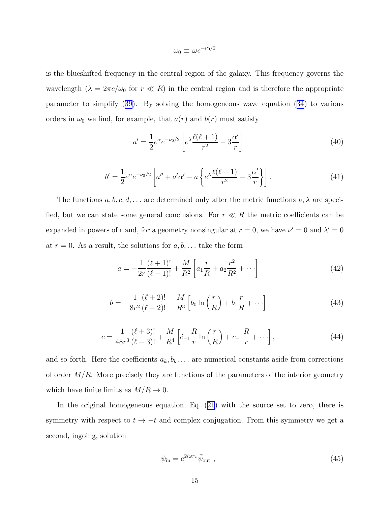$$
\omega_0 \equiv \omega e^{-\nu_0/2}
$$

<span id="page-15-0"></span>is the blueshifted frequency in the central region of the galaxy. This frequency governs the wavelength  $(\lambda = 2\pi c/\omega_0$  for  $r \ll R)$  in the central region and is therefore the appropriate parameter to simplify([39](#page-14-0)). By solving the homogeneous wave equation([34](#page-13-0)) to various orders in  $\omega_0$  we find, for example, that  $a(r)$  and  $b(r)$  must satisfy

$$
a' = \frac{1}{2}e^{\alpha}e^{-\nu_0/2} \left[ e^{\lambda} \frac{\ell(\ell+1)}{r^2} - 3\frac{\alpha'}{r} \right]
$$
 (40)

$$
b' = \frac{1}{2}e^{\alpha}e^{-\nu_0/2} \left[ a'' + a'\alpha' - a\left\{ e^{\lambda} \frac{\ell(\ell+1)}{r^2} - 3\frac{\alpha'}{r} \right\} \right].
$$
 (41)

The functions  $a, b, c, d, \ldots$  are determined only after the metric functions  $\nu, \lambda$  are specified, but we can state some general conclusions. For  $r \ll R$  the metric coefficients can be expanded in powers of r and, for a geometry nonsingular at  $r = 0$ , we have  $\nu' = 0$  and  $\lambda' = 0$ at  $r = 0$ . As a result, the solutions for  $a, b, \ldots$  take the form

$$
a = -\frac{1}{2r} \frac{(\ell+1)!}{(\ell-1)!} + \frac{M}{R^2} \left[ a_1 \frac{r}{R} + a_2 \frac{r^2}{R^2} + \cdots \right]
$$
(42)

$$
b = -\frac{1}{8r^2} \frac{(\ell+2)!}{(\ell-2)!} + \frac{M}{R^3} \left[ b_0 \ln \left( \frac{r}{R} \right) + b_1 \frac{r}{R} + \cdots \right]
$$
(43)

$$
c = \frac{1}{48r^3} \frac{(\ell+3)!}{(\ell-3)!} + \frac{M}{R^4} \left[ \tilde{c}_{-1} \frac{R}{r} \ln \left( \frac{r}{R} \right) + c_{-1} \frac{R}{r} + \cdots \right],\tag{44}
$$

and so forth. Here the coefficients  $a_k, b_k, \ldots$  are numerical constants aside from corrections of order  $M/R$ . More precisely they are functions of the parameters of the interior geometry which have finite limits as  $M/R \to 0$ .

In the original homogeneous equation, Eq.([21](#page-10-0)) with the source set to zero, there is symmetry with respect to  $t \to -t$  and complex conjugation. From this symmetry we get a second, ingoing, solution

$$
\psi_{\rm in} = e^{2i\omega r_*} \bar{\psi}_{\rm out} \tag{45}
$$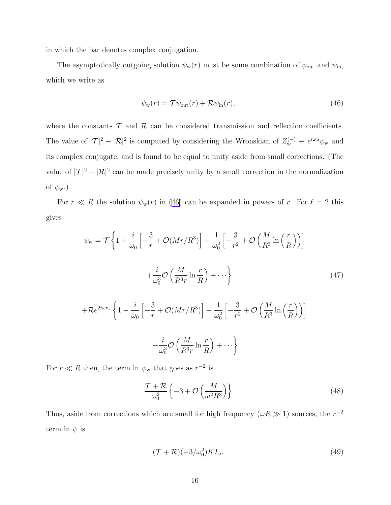<span id="page-16-0"></span>in which the bar denotes complex conjugation.

The asymptotically outgoing solution  $\psi_w(r)$  must be some combination of  $\psi_{\text{out}}$  and  $\psi_{\text{in}}$ , which we write as

$$
\psi_{\rm w}(r) = \mathcal{T}\psi_{\rm out}(r) + \mathcal{R}\psi_{\rm in}(r),\tag{46}
$$

where the constants  $\mathcal T$  and  $\mathcal R$  can be considered transmission and reflection coefficients. The value of  $|\mathcal{T}|^2 - |\mathcal{R}|^2$  is computed by considering the Wronskian of  $Z_{\rm w}^{(-)} \equiv e^{i\omega u}\psi_{\rm w}$  and its complex conjugate, and is found to be equal to unity aside from small corrections. (The value of  $|\mathcal{T}|^2 - |\mathcal{R}|^2$  can be made precisely unity by a small correction in the normalization of  $\psi_w$ .)

For  $r \ll R$  the solution  $\psi_w(r)$  in (46) can be expanded in powers of r. For  $\ell = 2$  this gives

$$
\psi_{\mathbf{w}} = \mathcal{T} \left\{ 1 + \frac{i}{\omega_0} \left[ -\frac{3}{r} + \mathcal{O}(Mr/R^3) \right] + \frac{1}{\omega_0^2} \left[ -\frac{3}{r^2} + \mathcal{O}\left(\frac{M}{R^3} \ln\left(\frac{r}{R}\right)\right) \right] \right\}
$$

$$
+ \frac{i}{\omega_0^3} \mathcal{O}\left(\frac{M}{R^3 r} \ln\frac{r}{R}\right) + \cdots \right\}
$$

$$
+ \mathcal{R} e^{2i\omega r_*} \left\{ 1 - \frac{i}{\omega_0} \left[ -\frac{3}{r} + \mathcal{O}(Mr/R^3) \right] + \frac{1}{\omega_0^2} \left[ -\frac{3}{r^2} + \mathcal{O}\left(\frac{M}{R^3} \ln\left(\frac{r}{R}\right)\right) \right] \right\}
$$

$$
- \frac{i}{\omega_0^3} \mathcal{O}\left(\frac{M}{R^3 r} \ln\frac{r}{R}\right) + \cdots \right\}
$$

$$
(47)
$$

For  $r \ll R$  then, the term in  $\psi_{\rm w}$  that goes as  $r^{-2}$  is

$$
\frac{\mathcal{T} + \mathcal{R}}{\omega_0^2} \left\{ -3 + \mathcal{O}\left(\frac{M}{\omega^2 R^3}\right) \right\} \tag{48}
$$

Thus, aside from corrections which are small for high frequency  $(\omega R \gg 1)$  sources, the  $r^{-2}$ term in  $\psi$  is

$$
(\mathcal{T} + \mathcal{R})(-3/\omega_0^2)KI_\omega.
$$
\n(49)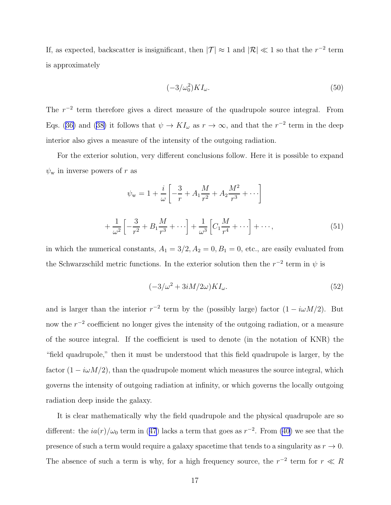<span id="page-17-0"></span>If, as expected, backscatter is insignificant, then  $|\mathcal{T}| \approx 1$  and  $|\mathcal{R}| \ll 1$  so that the  $r^{-2}$  term is approximately

$$
(-3/\omega_0^2)KI_\omega.\tag{50}
$$

The  $r^{-2}$  term therefore gives a direct measure of the quadrupole source integral. From Eqs.([36\)](#page-14-0) and ([38\)](#page-14-0) it follows that  $\psi \to K I_{\omega}$  as  $r \to \infty$ , and that the  $r^{-2}$  term in the deep interior also gives a measure of the intensity of the outgoing radiation.

For the exterior solution, very different conclusions follow. Here it is possible to expand  $\psi_{\rm w}$  in inverse powers of r as

$$
\psi_{\mathbf{w}} = 1 + \frac{i}{\omega} \left[ -\frac{3}{r} + A_1 \frac{M}{r^2} + A_2 \frac{M^2}{r^3} + \cdots \right]
$$

$$
+ \frac{1}{\omega^2} \left[ -\frac{3}{r^2} + B_1 \frac{M}{r^3} + \cdots \right] + \frac{1}{\omega^3} \left[ C_1 \frac{M}{r^4} + \cdots \right] + \cdots,
$$
(51)

in which the numerical constants,  $A_1 = 3/2, A_2 = 0, B_1 = 0$ , etc., are easily evaluated from the Schwarzschild metric functions. In the exterior solution then the  $r^{-2}$  term in  $\psi$  is

$$
(-3/\omega^2 + 3iM/2\omega)KI_{\omega}.
$$
\n(52)

and is larger than the interior  $r^{-2}$  term by the (possibly large) factor  $(1 - i\omega M/2)$ . But now the  $r^{-2}$  coefficient no longer gives the intensity of the outgoing radiation, or a measure of the source integral. If the coefficient is used to denote (in the notation of KNR) the "field quadrupole," then it must be understood that this field quadrupole is larger, by the factor  $(1 - i\omega M/2)$ , than the quadrupole moment which measures the source integral, which governs the intensity of outgoing radiation at infinity, or which governs the locally outgoing radiation deep inside the galaxy.

It is clear mathematically why the field quadrupole and the physical quadrupole are so different:the  $ia(r)/\omega_0$  term in ([47](#page-16-0)) lacks a term that goes as  $r^{-2}$ . From [\(40\)](#page-15-0) we see that the presence of such a term would require a galaxy spacetime that tends to a singularity as  $r \to 0$ . The absence of such a term is why, for a high frequency source, the  $r^{-2}$  term for  $r \ll R$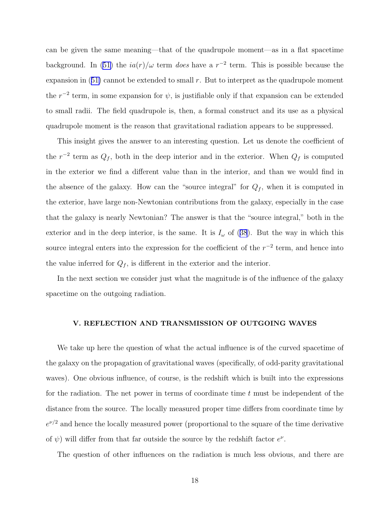can be given the same meaning—that of the quadrupole moment—as in a flat spacetime background. In [\(51\)](#page-17-0) the  $ia(r)/\omega$  term *does* have a  $r^{-2}$  term. This is possible because the expansionin  $(51)$  $(51)$  cannot be extended to small r. But to interpret as the quadrupole moment the  $r^{-2}$  term, in some expansion for  $\psi$ , is justifiable only if that expansion can be extended to small radii. The field quadrupole is, then, a formal construct and its use as a physical quadrupole moment is the reason that gravitational radiation appears to be suppressed.

This insight gives the answer to an interesting question. Let us denote the coefficient of the  $r^{-2}$  term as  $Q_f$ , both in the deep interior and in the exterior. When  $Q_f$  is computed in the exterior we find a different value than in the interior, and than we would find in the absence of the galaxy. How can the "source integral" for  $Q_f$ , when it is computed in the exterior, have large non-Newtonian contributions from the galaxy, especially in the case that the galaxy is nearly Newtonian? The answer is that the "source integral," both in the exteriorand in the deep interior, is the same. It is  $I_{\omega}$  of ([38](#page-14-0)). But the way in which this source integral enters into the expression for the coefficient of the  $r^{-2}$  term, and hence into the value inferred for  $Q_f$ , is different in the exterior and the interior.

In the next section we consider just what the magnitude is of the influence of the galaxy spacetime on the outgoing radiation.

#### V. REFLECTION AND TRANSMISSION OF OUTGOING WAVES

We take up here the question of what the actual influence is of the curved spacetime of the galaxy on the propagation of gravitational waves (specifically, of odd-parity gravitational waves). One obvious influence, of course, is the redshift which is built into the expressions for the radiation. The net power in terms of coordinate time  $t$  must be independent of the distance from the source. The locally measured proper time differs from coordinate time by  $e^{\nu/2}$  and hence the locally measured power (proportional to the square of the time derivative of  $\psi$ ) will differ from that far outside the source by the redshift factor  $e^{\nu}$ .

The question of other influences on the radiation is much less obvious, and there are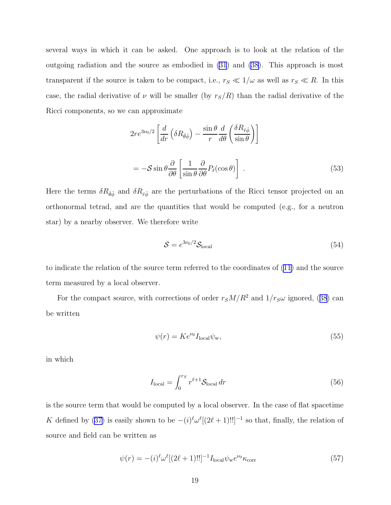several ways in which it can be asked. One approach is to look at the relation of the outgoing radiation and the source as embodied in [\(31](#page-12-0)) and [\(38\)](#page-14-0). This approach is most transparent if the source is taken to be compact, i.e.,  $r_S \ll 1/\omega$  as well as  $r_S \ll R$ . In this case, the radial derivative of  $\nu$  will be smaller (by  $r_S/R$ ) than the radial derivative of the Ricci components, so we can approximate

$$
2re^{3\nu_0/2}\left[\frac{d}{dr}\left(\delta R_{\hat{\theta}\hat{\phi}}\right) - \frac{\sin\theta}{r}\frac{d}{d\theta}\left(\frac{\delta R_{\hat{r}\hat{\phi}}}{\sin\theta}\right)\right]
$$

$$
= -\mathcal{S}\sin\theta\frac{\partial}{\partial\theta}\left[\frac{1}{\sin\theta}\frac{\partial}{\partial\theta}P_\ell(\cos\theta)\right].
$$
(53)

Here the terms  $\delta R_{\hat{\theta}\hat{\phi}}$  and  $\delta R_{\hat{r}\hat{\phi}}$  are the perturbations of the Ricci tensor projected on an orthonormal tetrad, and are the quantities that would be computed (e.g., for a neutron star) by a nearby observer. We therefore write

$$
S = e^{3\nu_0/2} S_{\text{local}} \tag{54}
$$

to indicate the relation of the source term referred to the coordinates of [\(11](#page-8-0)) and the source term measured by a local observer.

Forthe compact source, with corrections of order  $r_S M/R^2$  and  $1/r_S \omega$  ignored, ([38](#page-14-0)) can be written

$$
\psi(r) = Ke^{\nu_0}I_{\text{local}}\psi_{\text{w}},\tag{55}
$$

in which

$$
I_{\text{local}} = \int_0^{r_S} r^{\ell+1} \mathcal{S}_{\text{local}} \, dr \tag{56}
$$

is the source term that would be computed by a local observer. In the case of flat spacetime Kdefined by ([37\)](#page-14-0) is easily shown to be  $-(i)^{\ell} \omega^{\ell}[(2\ell+1)!!]^{-1}$  so that, finally, the relation of source and field can be written as

$$
\psi(r) = -(i)^{\ell} \omega^{\ell} [(2\ell + 1)!!]^{-1} I_{\text{local}} \psi_{\text{w}} e^{\nu_0} \kappa_{\text{corr}} \tag{57}
$$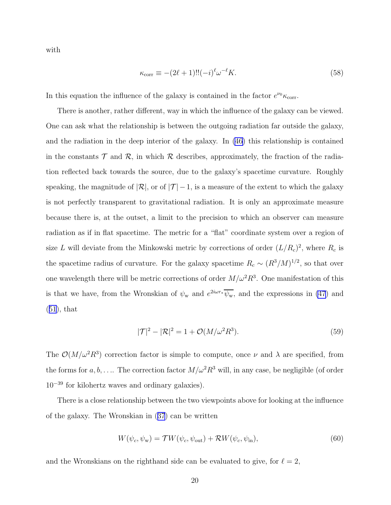<span id="page-20-0"></span>with

$$
\kappa_{\text{corr}} \equiv -(2\ell+1)!!(-i)^{\ell} \omega^{-\ell} K. \tag{58}
$$

In this equation the influence of the galaxy is contained in the factor  $e^{\nu_0}\kappa_{\text{corr}}$ .

There is another, rather different, way in which the influence of the galaxy can be viewed. One can ask what the relationship is between the outgoing radiation far outside the galaxy, and the radiation in the deep interior of the galaxy. In [\(46](#page-16-0)) this relationship is contained in the constants  $\mathcal T$  and  $\mathcal R$ , in which  $\mathcal R$  describes, approximately, the fraction of the radiation reflected back towards the source, due to the galaxy's spacetime curvature. Roughly speaking, the magnitude of  $|\mathcal{R}|$ , or of  $|\mathcal{T}|-1$ , is a measure of the extent to which the galaxy is not perfectly transparent to gravitational radiation. It is only an approximate measure because there is, at the outset, a limit to the precision to which an observer can measure radiation as if in flat spacetime. The metric for a "flat" coordinate system over a region of size L will deviate from the Minkowski metric by corrections of order  $(L/R_c)^2$ , where  $R_c$  is the spacetime radius of curvature. For the galaxy spacetime  $R_c \sim (R^3/M)^{1/2}$ , so that over one wavelength there will be metric corrections of order  $M/\omega^2 R^3$ . One manifestation of this is that we have, from the Wronskian of  $\psi_w$  and  $e^{2i\omega r_*}\overline{\psi_w}$ , and the expressions in [\(47](#page-16-0)) and  $(51)$  $(51)$  $(51)$ , that

$$
|\mathcal{T}|^2 - |\mathcal{R}|^2 = 1 + \mathcal{O}(M/\omega^2 R^3). \tag{59}
$$

The  $\mathcal{O}(M/\omega^2 R^3)$  correction factor is simple to compute, once  $\nu$  and  $\lambda$  are specified, from the forms for  $a, b, \ldots$  The correction factor  $M/\omega^2 R^3$  will, in any case, be negligible (of order 10<sup>−</sup><sup>39</sup> for kilohertz waves and ordinary galaxies).

There is a close relationship between the two viewpoints above for looking at the influence of the galaxy. The Wronskian in([37](#page-14-0)) can be written

$$
W(\psi_c, \psi_w) = \mathcal{T}W(\psi_c, \psi_{\text{out}}) + \mathcal{R}W(\psi_c, \psi_{\text{in}}),
$$
\n(60)

and the Wronskians on the righthand side can be evaluated to give, for  $\ell = 2$ ,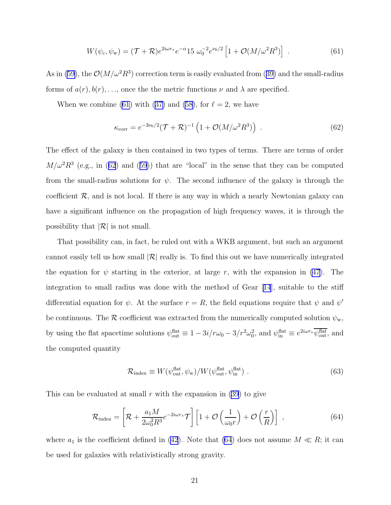$$
W(\psi_c, \psi_w) = (\mathcal{T} + \mathcal{R})e^{2i\omega r_*}e^{-\alpha} 15 \omega_0^{-2} e^{\nu_0/2} \left[1 + \mathcal{O}(M/\omega^2 R^3)\right] \,. \tag{61}
$$

<span id="page-21-0"></span>As in [\(59](#page-20-0)),the  $\mathcal{O}(M/\omega^2 R^3)$  correction term is easily evaluated from ([39\)](#page-14-0) and the small-radius forms of  $a(r)$ ,  $b(r)$ , ..., once the the metric functions  $\nu$  and  $\lambda$  are specified.

Whenwe combine (61) with ([37\)](#page-14-0) and [\(58\)](#page-20-0), for  $\ell = 2$ , we have

$$
\kappa_{\text{corr}} = e^{-3\nu_0/2} (\mathcal{T} + \mathcal{R})^{-1} \left( 1 + \mathcal{O}(M/\omega^2 R^3) \right) . \tag{62}
$$

The effect of the galaxy is then contained in two types of terms. There are terms of order  $M/\omega^2 R^3$  $M/\omega^2 R^3$  $M/\omega^2 R^3$  (e.g., in (62) and ([59](#page-20-0))) that are "local" in the sense that they can be computed from the small-radius solutions for  $\psi$ . The second influence of the galaxy is through the coefficient  $\mathcal{R}$ , and is not local. If there is any way in which a nearly Newtonian galaxy can have a significant influence on the propagation of high frequency waves, it is through the possibility that  $|\mathcal{R}|$  is not small.

That possibility can, in fact, be ruled out with a WKB argument, but such an argument cannot easily tell us how small  $\mathcal{R}$  really is. To find this out we have numerically integrated the equation for  $\psi$  starting in the exterior, at large r, with the expansion in [\(47](#page-16-0)). The integration to small radius was done with the method of Gear[[14](#page-25-0)], suitable to the stiff differential equation for  $\psi$ . At the surface  $r = R$ , the field equations require that  $\psi$  and  $\psi'$ be continuous. The R coefficient was extracted from the numerically computed solution  $\psi_{w}$ , by using the flat spacetime solutions  $\psi_{\text{out}}^{\text{flat}} \equiv 1 - 3i/r\omega_0 - 3/r^2\omega_0^2$ , and  $\psi_{\text{in}}^{\text{flat}} \equiv e^{2i\omega r_*}\psi_{\text{out}}^{\text{flat}}$ , and the computed quantity

$$
\mathcal{R}_{\text{index}} \equiv W(\psi_{\text{out}}^{\text{flat}}, \psi_{\text{w}}) / W(\psi_{\text{out}}^{\text{flat}}, \psi_{\text{in}}^{\text{flat}}) \tag{63}
$$

This can be evaluated at small r with the expansion in  $(39)$  to give

$$
\mathcal{R}_{\text{index}} = \left[ \mathcal{R} + \frac{a_1 M}{2\omega_0^2 R^3} e^{-2i\omega r_*} \mathcal{T} \right] \left[ 1 + \mathcal{O}\left(\frac{1}{\omega_0 r}\right) + \mathcal{O}\left(\frac{r}{R}\right) \right] \,, \tag{64}
$$

where  $a_1$  is the coefficient defined in [\(42](#page-15-0)). Note that (64) does not assume  $M \ll R$ ; it can be used for galaxies with relativistically strong gravity.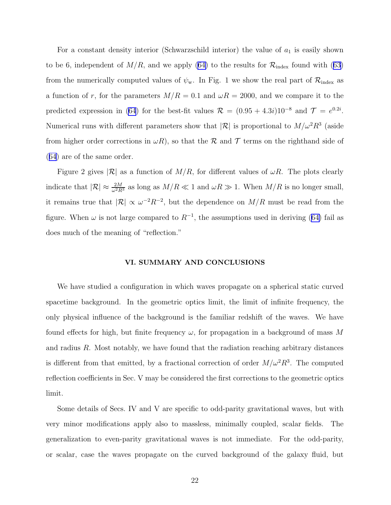For a constant density interior (Schwarzschild interior) the value of  $a_1$  is easily shown tobe 6, independent of  $M/R$ , and we apply ([64\)](#page-21-0) to the results for  $\mathcal{R}_{index}$  found with ([63\)](#page-21-0) from the numerically computed values of  $\psi_w$ . In Fig. 1 we show the real part of  $\mathcal{R}_{index}$  as a function of r, for the parameters  $M/R = 0.1$  and  $\omega R = 2000$ , and we compare it to the predicted expression in [\(64](#page-21-0)) for the best-fit values  $\mathcal{R} = (0.95 + 4.3i)10^{-8}$  and  $\mathcal{T} = e^{0.2i}$ . Numerical runs with different parameters show that  $|\mathcal{R}|$  is proportional to  $M/\omega^2 R^3$  (aside from higher order corrections in  $\omega R$ ), so that the R and T terms on the righthand side of ([64](#page-21-0)) are of the same order.

Figure 2 gives  $|\mathcal{R}|$  as a function of  $M/R$ , for different values of  $\omega R$ . The plots clearly indicate that  $|\mathcal{R}| \approx \frac{2M}{\omega^2 R^3}$  as long as  $M/R \ll 1$  and  $\omega R \gg 1$ . When  $M/R$  is no longer small, it remains true that  $|\mathcal{R}| \propto \omega^{-2} R^{-2}$ , but the dependence on  $M/R$  must be read from the figure.When  $\omega$  is not large compared to  $R^{-1}$ , the assumptions used in deriving ([64\)](#page-21-0) fail as does much of the meaning of "reflection."

#### VI. SUMMARY AND CONCLUSIONS

We have studied a configuration in which waves propagate on a spherical static curved spacetime background. In the geometric optics limit, the limit of infinite frequency, the only physical influence of the background is the familiar redshift of the waves. We have found effects for high, but finite frequency  $\omega$ , for propagation in a background of mass M and radius R. Most notably, we have found that the radiation reaching arbitrary distances is different from that emitted, by a fractional correction of order  $M/\omega^2 R^3$ . The computed reflection coefficients in Sec. V may be considered the first corrections to the geometric optics limit.

Some details of Secs. IV and V are specific to odd-parity gravitational waves, but with very minor modifications apply also to massless, minimally coupled, scalar fields. The generalization to even-parity gravitational waves is not immediate. For the odd-parity, or scalar, case the waves propagate on the curved background of the galaxy fluid, but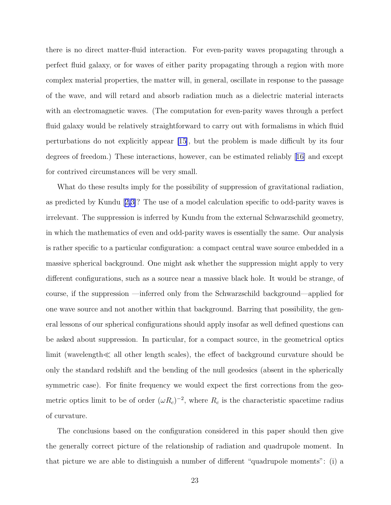there is no direct matter-fluid interaction. For even-parity waves propagating through a perfect fluid galaxy, or for waves of either parity propagating through a region with more complex material properties, the matter will, in general, oscillate in response to the passage of the wave, and will retard and absorb radiation much as a dielectric material interacts with an electromagnetic waves. (The computation for even-parity waves through a perfect fluid galaxy would be relatively straightforward to carry out with formalisms in which fluid perturbations do not explicitly appear [\[15\]](#page-25-0), but the problem is made difficult by its four degrees of freedom.) These interactions, however, can be estimated reliably[[16\]](#page-25-0) and except for contrived circumstances will be very small.

What do these results imply for the possibility of suppression of gravitational radiation, as predicted by Kundu[[2,3\]](#page-25-0)? The use of a model calculation specific to odd-parity waves is irrelevant. The suppression is inferred by Kundu from the external Schwarzschild geometry, in which the mathematics of even and odd-parity waves is essentially the same. Our analysis is rather specific to a particular configuration: a compact central wave source embedded in a massive spherical background. One might ask whether the suppression might apply to very different configurations, such as a source near a massive black hole. It would be strange, of course, if the suppression —inferred only from the Schwarzschild background—applied for one wave source and not another within that background. Barring that possibility, the general lessons of our spherical configurations should apply insofar as well defined questions can be asked about suppression. In particular, for a compact source, in the geometrical optics limit (wavelength≪ all other length scales), the effect of background curvature should be only the standard redshift and the bending of the null geodesics (absent in the spherically symmetric case). For finite frequency we would expect the first corrections from the geometric optics limit to be of order  $(\omega R_c)^{-2}$ , where  $R_c$  is the characteristic spacetime radius of curvature.

The conclusions based on the configuration considered in this paper should then give the generally correct picture of the relationship of radiation and quadrupole moment. In that picture we are able to distinguish a number of different "quadrupole moments": (i) a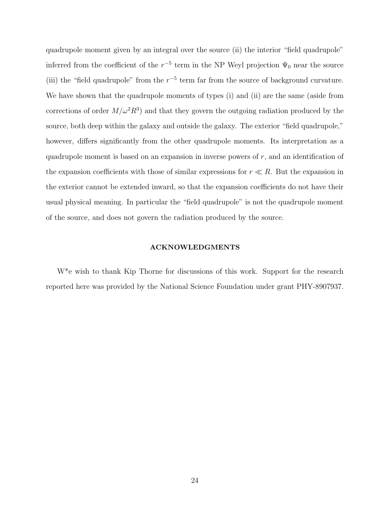quadrupole moment given by an integral over the source (ii) the interior "field quadrupole" inferred from the coefficient of the  $r^{-5}$  term in the NP Weyl projection  $\Psi_0$  near the source (iii) the "field quadrupole" from the  $r^{-5}$  term far from the source of background curvature. We have shown that the quadrupole moments of types (i) and (ii) are the same (aside from corrections of order  $M/\omega^2 R^3$  and that they govern the outgoing radiation produced by the source, both deep within the galaxy and outside the galaxy. The exterior "field quadrupole," however, differs significantly from the other quadrupole moments. Its interpretation as a quadrupole moment is based on an expansion in inverse powers of r, and an identification of the expansion coefficients with those of similar expressions for  $r \ll R$ . But the expansion in the exterior cannot be extended inward, so that the expansion coefficients do not have their usual physical meaning. In particular the "field quadrupole" is not the quadrupole moment of the source, and does not govern the radiation produced by the source.

#### ACKNOWLEDGMENTS

W\*e wish to thank Kip Thorne for discussions of this work. Support for the research reported here was provided by the National Science Foundation under grant PHY-8907937.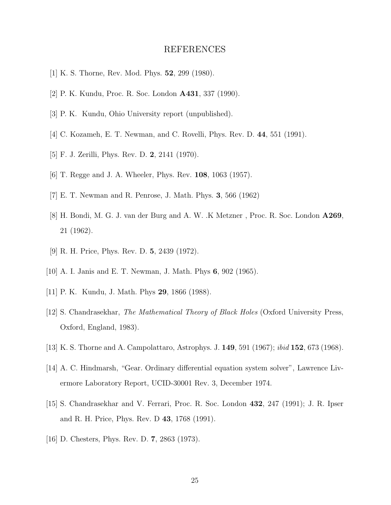# REFERENCES

- <span id="page-25-0"></span>[1] K. S. Thorne, Rev. Mod. Phys. 52, 299 (1980).
- [2] P. K. Kundu, Proc. R. Soc. London A431, 337 (1990).
- [3] P. K. Kundu, Ohio University report (unpublished).
- [4] C. Kozameh, E. T. Newman, and C. Rovelli, Phys. Rev. D. 44, 551 (1991).
- [5] F. J. Zerilli, Phys. Rev. D. 2, 2141 (1970).
- [6] T. Regge and J. A. Wheeler, Phys. Rev. 108, 1063 (1957).
- [7] E. T. Newman and R. Penrose, J. Math. Phys. 3, 566 (1962)
- [8] H. Bondi, M. G. J. van der Burg and A. W. .K Metzner , Proc. R. Soc. London A269, 21 (1962).
- [9] R. H. Price, Phys. Rev. D. 5, 2439 (1972).
- [10] A. I. Janis and E. T. Newman, J. Math. Phys 6, 902 (1965).
- [11] P. K. Kundu, J. Math. Phys 29, 1866 (1988).
- [12] S. Chandrasekhar, The Mathematical Theory of Black Holes (Oxford University Press, Oxford, England, 1983).
- [13] K. S. Thorne and A. Campolattaro, Astrophys. J. 149, 591 (1967); ibid 152, 673 (1968).
- [14] A. C. Hindmarsh, "Gear. Ordinary differential equation system solver", Lawrence Livermore Laboratory Report, UCID-30001 Rev. 3, December 1974.
- [15] S. Chandrasekhar and V. Ferrari, Proc. R. Soc. London 432, 247 (1991); J. R. Ipser and R. H. Price, Phys. Rev. D 43, 1768 (1991).
- [16] D. Chesters, Phys. Rev. D. 7, 2863 (1973).